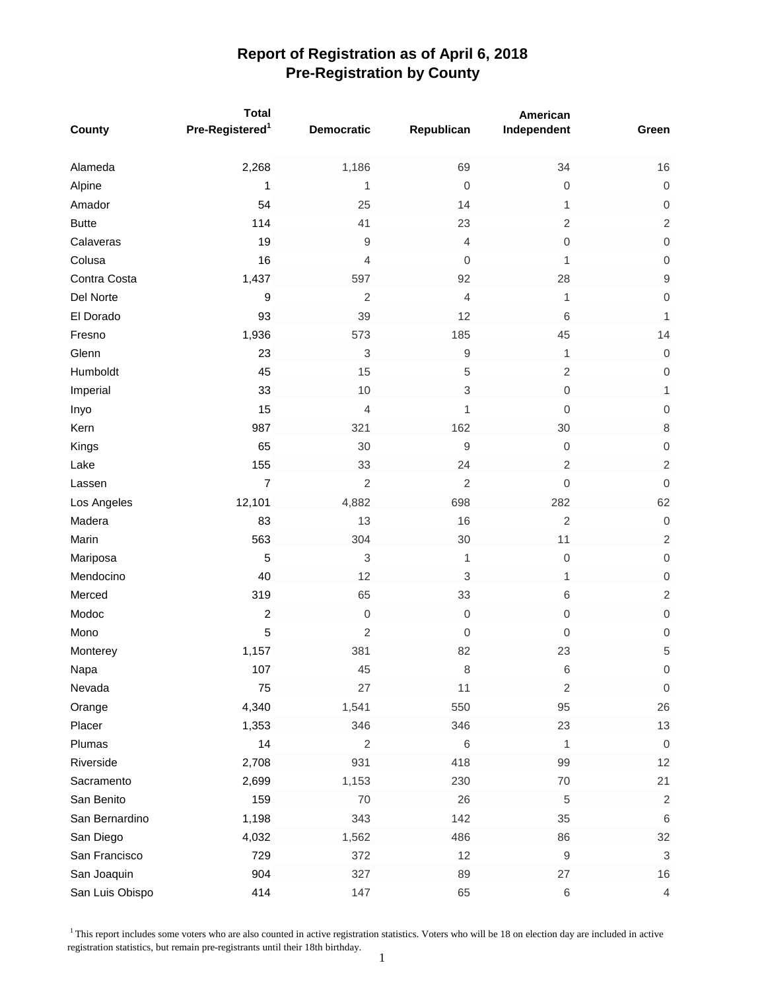|                 | <b>Total</b>                | American                  |                           |                         |                     |  |
|-----------------|-----------------------------|---------------------------|---------------------------|-------------------------|---------------------|--|
| County          | Pre-Registered <sup>1</sup> | Democratic                | Republican                | Independent             | Green               |  |
| Alameda         | 2,268                       | 1,186                     | 69                        | 34                      | 16                  |  |
| Alpine          | 1                           | 1                         | $\boldsymbol{0}$          | $\mathbf 0$             | $\,0\,$             |  |
| Amador          | 54                          | 25                        | 14                        | 1                       | $\mathbf 0$         |  |
| <b>Butte</b>    | 114                         | 41                        | 23                        | $\mathbf 2$             | $\sqrt{2}$          |  |
| Calaveras       | 19                          | $\hbox{9}$                | $\overline{4}$            | $\mbox{O}$              | $\mathbf 0$         |  |
| Colusa          | 16                          | $\overline{4}$            | $\mathbf 0$               | 1                       | $\mathbf 0$         |  |
| Contra Costa    | 1,437                       | 597                       | 92                        | 28                      | $\hbox{9}$          |  |
| Del Norte       | $\boldsymbol{9}$            | $\sqrt{2}$                | $\overline{4}$            | 1                       | $\mathbf 0$         |  |
| El Dorado       | 93                          | 39                        | 12                        | 6                       | $\mathbf{1}$        |  |
| Fresno          | 1,936                       | 573                       | 185                       | 45                      | 14                  |  |
| Glenn           | 23                          | $\ensuremath{\mathsf{3}}$ | $\hbox{9}$                | 1                       | $\mbox{O}$          |  |
| Humboldt        | 45                          | 15                        | 5                         | $\sqrt{2}$              | $\mathbf 0$         |  |
| Imperial        | 33                          | 10                        | 3                         | $\mathbf 0$             | $\mathbf{1}$        |  |
| Inyo            | 15                          | $\overline{4}$            | 1                         | $\mathbf 0$             | $\mathbf 0$         |  |
| Kern            | 987                         | 321                       | 162                       | 30                      | $\,8\,$             |  |
| Kings           | 65                          | 30                        | $\boldsymbol{9}$          | $\boldsymbol{0}$        | $\mathbf 0$         |  |
| Lake            | 155                         | 33                        | 24                        | $\sqrt{2}$              | $\sqrt{2}$          |  |
| Lassen          | $\overline{7}$              | $\overline{2}$            | $\sqrt{2}$                | $\boldsymbol{0}$        | $\,0\,$             |  |
| Los Angeles     | 12,101                      | 4,882                     | 698                       | 282                     | 62                  |  |
| Madera          | 83                          | 13                        | 16                        | $\mathbf 2$             | $\,0\,$             |  |
| Marin           | 563                         | 304                       | 30                        | 11                      | $\overline{2}$      |  |
| Mariposa        | 5                           | $\ensuremath{\mathsf{3}}$ | $\mathbf{1}$              | $\mathbf 0$             | $\mathbf 0$         |  |
| Mendocino       | 40                          | 12                        | $\ensuremath{\mathsf{3}}$ | 1                       | $\mathbf 0$         |  |
| Merced          | 319                         | 65                        | 33                        | 6                       | $\sqrt{2}$          |  |
| Modoc           | $\overline{c}$              | $\mathbf 0$               | $\mathbf 0$               | 0                       | $\mathbf 0$         |  |
| Mono            | $\mathbf 5$                 | $\mathbf 2$               | $\mathbf 0$               | $\mathbf 0$             | $\mathbf 0$         |  |
| Monterey        | 1,157                       | 381                       | 82                        | 23                      | $\,$ 5 $\,$         |  |
| Napa            | 107                         | 45                        | $\,$ 8 $\,$               | $\,$ 6 $\,$             | $\mathsf{O}\xspace$ |  |
| Nevada          | 75                          | 27                        | 11                        | $\overline{\mathbf{c}}$ | $\,0\,$             |  |
| Orange          | 4,340                       | 1,541                     | 550                       | 95                      | 26                  |  |
| Placer          | 1,353                       | 346                       | 346                       | 23                      | 13                  |  |
| Plumas          | 14                          | $\sqrt{2}$                | $\,6$                     | 1                       | $\boldsymbol{0}$    |  |
| Riverside       | 2,708                       | 931                       | 418                       | 99                      | 12                  |  |
| Sacramento      | 2,699                       | 1,153                     | 230                       | 70                      | 21                  |  |
| San Benito      | 159                         | 70                        | 26                        | $\,$ 5 $\,$             | $\overline{c}$      |  |
| San Bernardino  | 1,198                       | 343                       | 142                       | 35                      | $\,6\,$             |  |
| San Diego       | 4,032                       | 1,562                     | 486                       | 86                      | 32                  |  |
| San Francisco   | 729                         | 372                       | 12                        | $\boldsymbol{9}$        | $\sqrt{3}$          |  |
| San Joaquin     | 904                         | 327                       | 89                        | 27                      | 16                  |  |
| San Luis Obispo | 414                         | 147                       | 65                        | $\,6$                   | $\overline{4}$      |  |

 $1$ <sup>1</sup> This report includes some voters who are also counted in active registration statistics. Voters who will be 18 on election day are included in active registration statistics, but remain pre-registrants until their 18th birthday.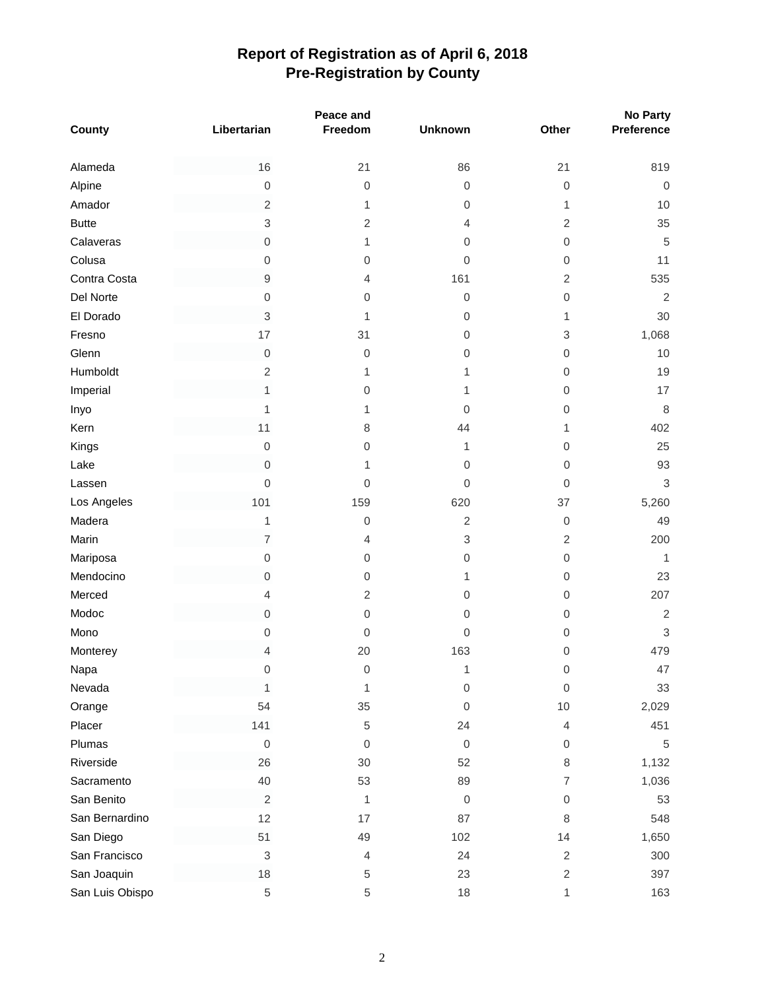|                 | Peace and        |                  |                           | <b>No Party</b>           |                |  |
|-----------------|------------------|------------------|---------------------------|---------------------------|----------------|--|
| County          | Libertarian      | Freedom          | <b>Unknown</b>            | Other                     | Preference     |  |
| Alameda         | 16               | 21               | 86                        | 21                        | 819            |  |
| Alpine          | $\mathbf 0$      | $\mathbf 0$      | $\boldsymbol{0}$          | $\boldsymbol{0}$          | $\overline{0}$ |  |
| Amador          | $\sqrt{2}$       | 1                | 0                         | 1                         | 10             |  |
| <b>Butte</b>    | $\,$ 3 $\,$      | $\sqrt{2}$       | 4                         | $\overline{2}$            | 35             |  |
| Calaveras       | $\mathbf 0$      | 1                | 0                         | $\mathbf 0$               | 5              |  |
| Colusa          | $\mathbf 0$      | 0                | $\boldsymbol{0}$          | $\mathbf 0$               | 11             |  |
| Contra Costa    | $\boldsymbol{9}$ | 4                | 161                       | $\sqrt{2}$                | 535            |  |
| Del Norte       | $\mathbf 0$      | 0                | $\boldsymbol{0}$          | $\boldsymbol{0}$          | 2              |  |
| El Dorado       | 3                | 1                | $\boldsymbol{0}$          | 1                         | 30             |  |
| Fresno          | 17               | 31               | $\boldsymbol{0}$          | $\ensuremath{\mathsf{3}}$ | 1,068          |  |
| Glenn           | $\mathbf 0$      | 0                | $\boldsymbol{0}$          | $\boldsymbol{0}$          | 10             |  |
| Humboldt        | $\overline{c}$   | 1                | 1                         | $\boldsymbol{0}$          | 19             |  |
| Imperial        | 1                | 0                | 1                         | $\boldsymbol{0}$          | 17             |  |
| Inyo            | 1                | 1                | $\mathbf 0$               | $\boldsymbol{0}$          | $\,8\,$        |  |
| Kern            | 11               | 8                | 44                        | 1                         | 402            |  |
| Kings           | $\mbox{O}$       | 0                | 1                         | 0                         | 25             |  |
| Lake            | $\mathbf 0$      | 1                | $\boldsymbol{0}$          | $\boldsymbol{0}$          | 93             |  |
| Lassen          | $\mathbf 0$      | 0                | $\boldsymbol{0}$          | $\mathbf 0$               | $\mathfrak{Z}$ |  |
| Los Angeles     | 101              | 159              | 620                       | 37                        | 5,260          |  |
| Madera          | 1                | $\mathsf 0$      | $\sqrt{2}$                | $\mathbf 0$               | 49             |  |
| Marin           | $\overline{7}$   | 4                | $\ensuremath{\mathsf{3}}$ | $\sqrt{2}$                | 200            |  |
| Mariposa        | $\boldsymbol{0}$ | $\mathsf 0$      | $\mathsf 0$               | $\mathbf 0$               | 1              |  |
| Mendocino       | $\mathbf 0$      | 0                | 1                         | $\mathbf 0$               | 23             |  |
| Merced          | 4                | $\overline{2}$   | 0                         | $\boldsymbol{0}$          | 207            |  |
| Modoc           | $\mathbf 0$      | 0                | $\mathbf 0$               | $\boldsymbol{0}$          | 2              |  |
| Mono            | 0                | 0                | $\boldsymbol{0}$          | $\boldsymbol{0}$          | 3              |  |
| Monterey        | 4                | 20               | 163                       | 0                         | 479            |  |
| Napa            | 0                | $\boldsymbol{0}$ | 1                         | $\,0\,$                   | 47             |  |
| Nevada          | 1                | 1                | 0                         | $\,0\,$                   | 33             |  |
| Orange          | 54               | 35               | $\mbox{O}$                | $10$                      | 2,029          |  |
| Placer          | 141              | 5                | 24                        | 4                         | 451            |  |
| Plumas          | $\mathbf 0$      | $\mathbf 0$      | $\mathbf 0$               | 0                         | $\,$ 5 $\,$    |  |
| Riverside       | 26               | 30               | 52                        | $\,8\,$                   | 1,132          |  |
| Sacramento      | 40               | 53               | 89                        | $\overline{7}$            | 1,036          |  |
| San Benito      | $\sqrt{2}$       | $\mathbf{1}$     | $\mathbf 0$               | 0                         | 53             |  |
| San Bernardino  | 12               | 17               | 87                        | 8                         | 548            |  |
| San Diego       | 51               | 49               | 102                       | 14                        | 1,650          |  |
| San Francisco   | 3                | $\overline{4}$   | 24                        | $\sqrt{2}$                | 300            |  |
| San Joaquin     | $18$             | $\,$ 5 $\,$      | 23                        | $\sqrt{2}$                | 397            |  |
| San Luis Obispo | $\,$ 5 $\,$      | 5                | 18                        | 1                         | 163            |  |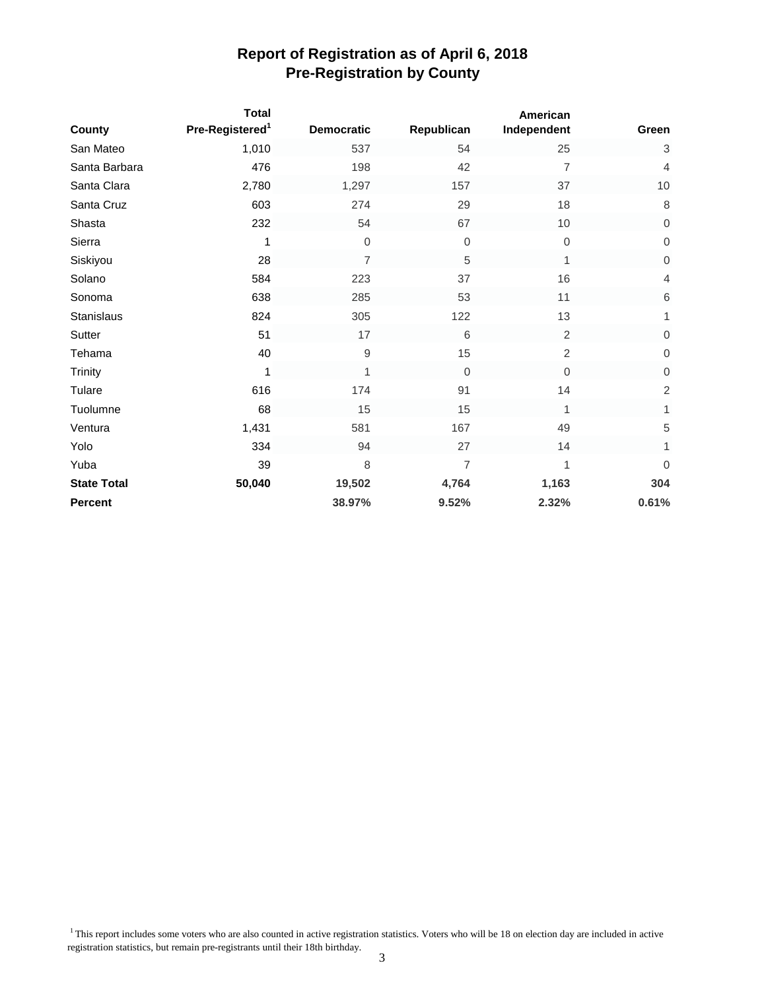|                    | <b>Total</b>                |                   |            | American       |                  |
|--------------------|-----------------------------|-------------------|------------|----------------|------------------|
| County             | Pre-Registered <sup>1</sup> | <b>Democratic</b> | Republican | Independent    | Green            |
| San Mateo          | 1,010                       | 537               | 54         | 25             | $\sqrt{3}$       |
| Santa Barbara      | 476                         | 198               | 42         | $\overline{7}$ | $\overline{4}$   |
| Santa Clara        | 2,780                       | 1,297             | 157        | 37             | $10$             |
| Santa Cruz         | 603                         | 274               | 29         | 18             | 8                |
| Shasta             | 232                         | 54                | 67         | 10             | $\mbox{O}$       |
| Sierra             | 1                           | $\mathbf 0$       | 0          | $\mathbf 0$    | $\boldsymbol{0}$ |
| Siskiyou           | 28                          | 7                 | 5          | 1              | $\mathbf 0$      |
| Solano             | 584                         | 223               | 37         | 16             | $\overline{4}$   |
| Sonoma             | 638                         | 285               | 53         | 11             | $\,$ 6 $\,$      |
| Stanislaus         | 824                         | 305               | 122        | 13             | 1                |
| Sutter             | 51                          | 17                | 6          | $\overline{2}$ | $\boldsymbol{0}$ |
| Tehama             | 40                          | 9                 | 15         | 2              | $\mathbf 0$      |
| Trinity            | 1                           |                   | $\Omega$   | $\overline{0}$ | $\mathbf 0$      |
| Tulare             | 616                         | 174               | 91         | 14             | $\sqrt{2}$       |
| Tuolumne           | 68                          | 15                | 15         | $\mathbf{1}$   | 1                |
| Ventura            | 1,431                       | 581               | 167        | 49             | $\,$ 5 $\,$      |
| Yolo               | 334                         | 94                | 27         | 14             | 1                |
| Yuba               | 39                          | 8                 | 7          | 1              | $\boldsymbol{0}$ |
| <b>State Total</b> | 50,040                      | 19,502            | 4,764      | 1,163          | 304              |
| <b>Percent</b>     |                             | 38.97%            | 9.52%      | 2.32%          | 0.61%            |

 $1$ <sup>1</sup> This report includes some voters who are also counted in active registration statistics. Voters who will be 18 on election day are included in active registration statistics, but remain pre-registrants until their 18th birthday.